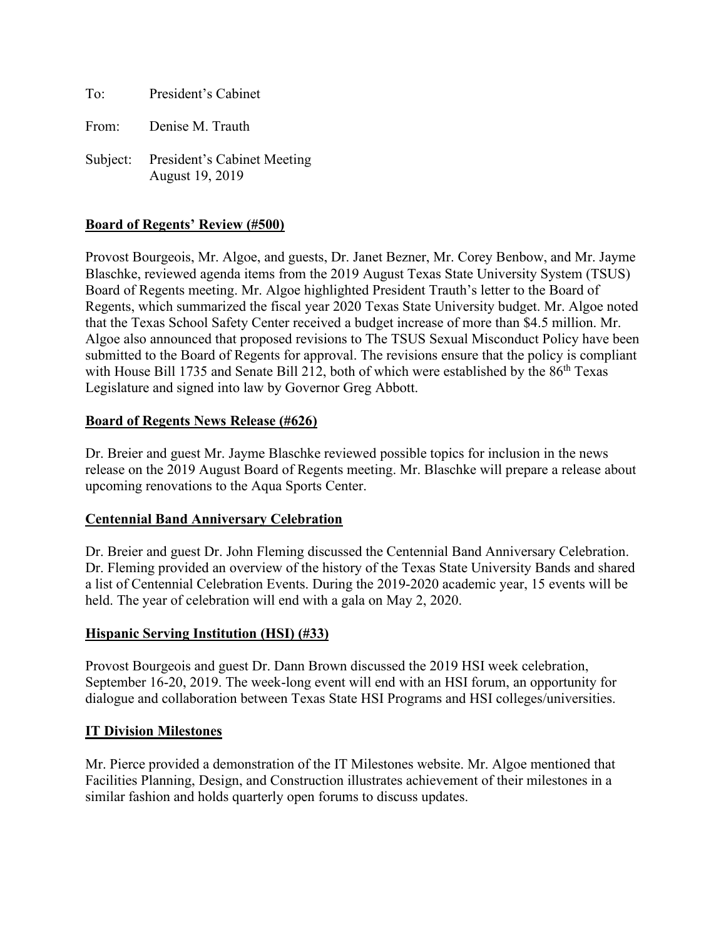To: President's Cabinet

From: Denise M. Trauth

Subject: President's Cabinet Meeting August 19, 2019

## **Board of Regents' Review (#500)**

Provost Bourgeois, Mr. Algoe, and guests, Dr. Janet Bezner, Mr. Corey Benbow, and Mr. Jayme Blaschke, reviewed agenda items from the 2019 August Texas State University System (TSUS) Board of Regents meeting. Mr. Algoe highlighted President Trauth's letter to the Board of Regents, which summarized the fiscal year 2020 Texas State University budget. Mr. Algoe noted that the Texas School Safety Center received a budget increase of more than \$4.5 million. Mr. Algoe also announced that proposed revisions to The TSUS Sexual Misconduct Policy have been submitted to the Board of Regents for approval. The revisions ensure that the policy is compliant with House Bill 1735 and Senate Bill 212, both of which were established by the 86<sup>th</sup> Texas Legislature and signed into law by Governor Greg Abbott.

### **Board of Regents News Release (#626)**

Dr. Breier and guest Mr. Jayme Blaschke reviewed possible topics for inclusion in the news release on the 2019 August Board of Regents meeting. Mr. Blaschke will prepare a release about upcoming renovations to the Aqua Sports Center.

### **Centennial Band Anniversary Celebration**

Dr. Breier and guest Dr. John Fleming discussed the Centennial Band Anniversary Celebration. Dr. Fleming provided an overview of the history of the Texas State University Bands and shared a list of Centennial Celebration Events. During the 2019-2020 academic year, 15 events will be held. The year of celebration will end with a gala on May 2, 2020.

### **Hispanic Serving Institution (HSI) (#33)**

Provost Bourgeois and guest Dr. Dann Brown discussed the 2019 HSI week celebration, September 16-20, 2019. The week-long event will end with an HSI forum, an opportunity for dialogue and collaboration between Texas State HSI Programs and HSI colleges/universities.

### **IT Division Milestones**

Mr. Pierce provided a demonstration of the IT Milestones website. Mr. Algoe mentioned that Facilities Planning, Design, and Construction illustrates achievement of their milestones in a similar fashion and holds quarterly open forums to discuss updates.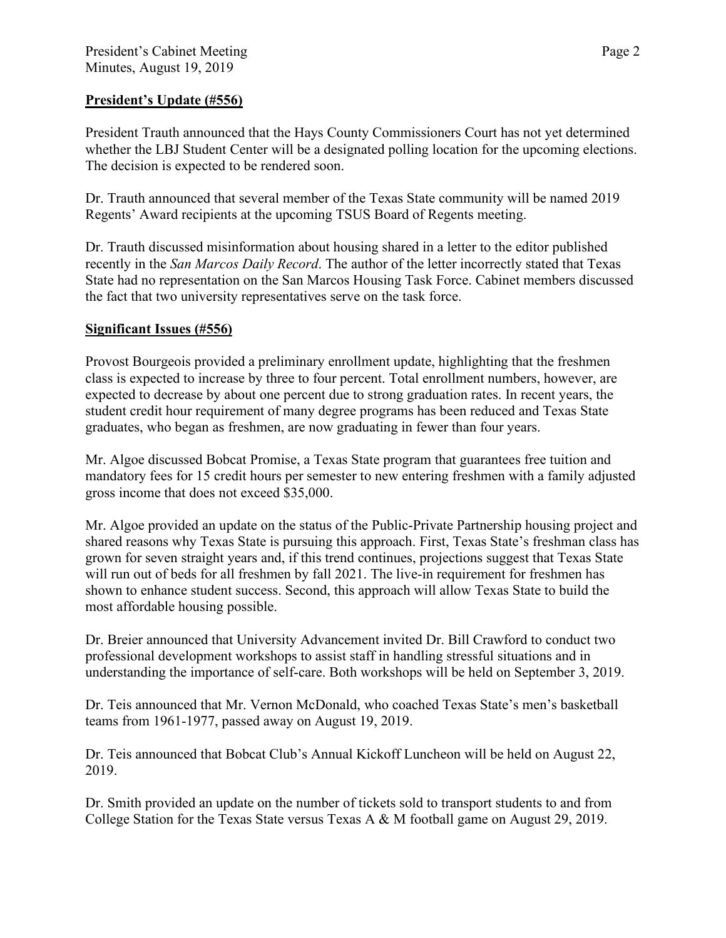# **President's Update (#556)**

President Trauth announced that the Hays County Commissioners Court has not yet determined whether the LBJ Student Center will be a designated polling location for the upcoming elections. The decision is expected to be rendered soon.

Dr. Trauth announced that several member of the Texas State community will be named 2019 Regents' Award recipients at the upcoming TSUS Board of Regents meeting.

Dr. Trauth discussed misinformation about housing shared in a letter to the editor published recently in the *San Marcos Daily Record*. The author of the letter incorrectly stated that Texas State had no representation on the San Marcos Housing Task Force. Cabinet members discussed the fact that two university representatives serve on the task force.

# **Significant Issues (#556)**

Provost Bourgeois provided a preliminary enrollment update, highlighting that the freshmen class is expected to increase by three to four percent. Total enrollment numbers, however, are expected to decrease by about one percent due to strong graduation rates. In recent years, the student credit hour requirement of many degree programs has been reduced and Texas State graduates, who began as freshmen, are now graduating in fewer than four years.

Mr. Algoe discussed Bobcat Promise, a Texas State program that guarantees free tuition and mandatory fees for 15 credit hours per semester to new entering freshmen with a family adjusted gross income that does not exceed \$35,000.

Mr. Algoe provided an update on the status of the Public-Private Partnership housing project and shared reasons why Texas State is pursuing this approach. First, Texas State's freshman class has grown for seven straight years and, if this trend continues, projections suggest that Texas State will run out of beds for all freshmen by fall 2021. The live-in requirement for freshmen has shown to enhance student success. Second, this approach will allow Texas State to build the most affordable housing possible.

Dr. Breier announced that University Advancement invited Dr. Bill Crawford to conduct two professional development workshops to assist staff in handling stressful situations and in understanding the importance of self-care. Both workshops will be held on September 3, 2019.

Dr. Teis announced that Mr. Vernon McDonald, who coached Texas State's men's basketball teams from 1961-1977, passed away on August 19, 2019.

Dr. Teis announced that Bobcat Club's Annual Kickoff Luncheon will be held on August 22, 2019.

Dr. Smith provided an update on the number of tickets sold to transport students to and from College Station for the Texas State versus Texas A & M football game on August 29, 2019.